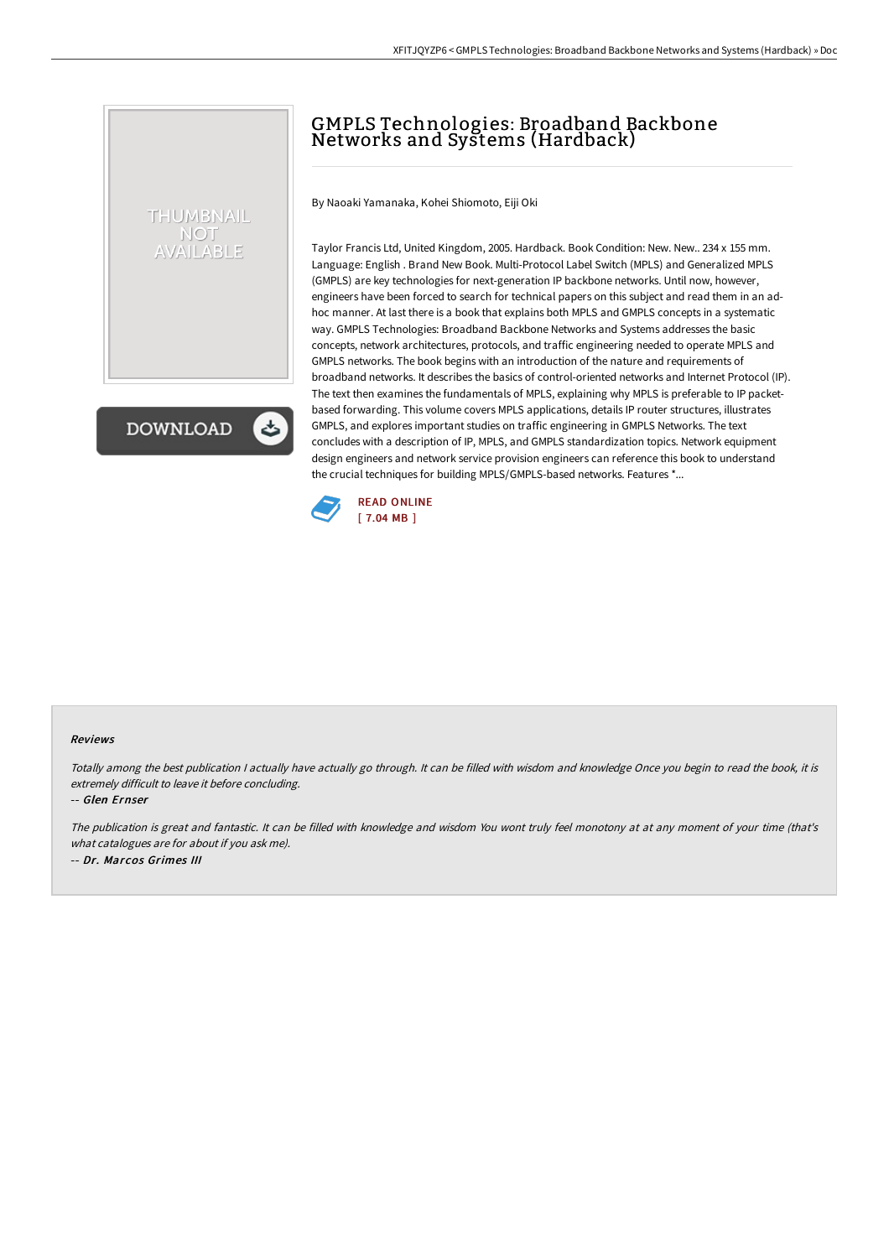## GMPLS Technologies: Broadband Backbone Networks and Systems (Hardback)

By Naoaki Yamanaka, Kohei Shiomoto, Eiji Oki

Taylor Francis Ltd, United Kingdom, 2005. Hardback. Book Condition: New. New.. 234 x 155 mm. Language: English . Brand New Book. Multi-Protocol Label Switch (MPLS) and Generalized MPLS (GMPLS) are key technologies for next-generation IP backbone networks. Until now, however, engineers have been forced to search for technical papers on this subject and read them in an adhoc manner. At last there is a book that explains both MPLS and GMPLS concepts in a systematic way. GMPLS Technologies: Broadband Backbone Networks and Systems addresses the basic concepts, network architectures, protocols, and traffic engineering needed to operate MPLS and GMPLS networks. The book begins with an introduction of the nature and requirements of broadband networks. It describes the basics of control-oriented networks and Internet Protocol (IP). The text then examines the fundamentals of MPLS, explaining why MPLS is preferable to IP packetbased forwarding. This volume covers MPLS applications, details IP router structures, illustrates GMPLS, and explores important studies on traffic engineering in GMPLS Networks. The text concludes with a description of IP, MPLS, and GMPLS standardization topics. Network equipment design engineers and network service provision engineers can reference this book to understand the crucial techniques for building MPLS/GMPLS-based networks. Features \*...



## Reviews

Totally among the best publication <sup>I</sup> actually have actually go through. It can be filled with wisdom and knowledge Once you begin to read the book, it is extremely difficult to leave it before concluding.

-- Glen Ernser

THUMBNAIL **NOT** AVAILABLE

**DOWNLOAD** 

The publication is great and fantastic. It can be filled with knowledge and wisdom You wont truly feel monotony at at any moment of your time (that's what catalogues are for about if you ask me). -- Dr. Marcos Grimes III